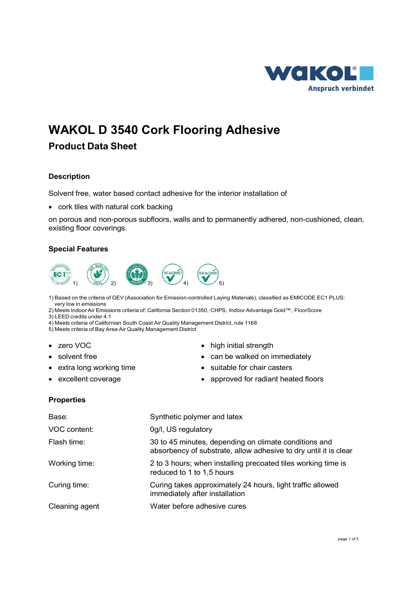

# **WAKOL D 3540 Cork Flooring Adhesive**

## **Product Data Sheet**

## **Description**

Solvent free, water based contact adhesive for the interior installation of

• cork tiles with natural cork backing

on porous and non-porous subfloors, walls and to permanently adhered, non-cushioned, clean, existing floor coverings.

## **Special Features**



1) Based on the criteria of GEV (Association for Emission-controlled Laying Materials), classified as EMICODE EC1 PLUS: very low in emissions

2) Meets Indoor Air Emissions criteria of: California Section 01350,·CHPS,·Indoor Advantage Gold™,·FloorScore 3) LEED credits under 4.1

4) Meets criteria of Californian South Coast Air Quality Management District, rule 1168

5) Meets criteria of Bay Area Air Quality Management District

- 
- 
- 
- 
- zero VOC **high initial strength** 
	- solvent free  **can be walked on immediately**
- extra long working time suitable for chair casters
- excellent coverage **•** approved for radiant heated floors

## **Properties**

| Base:          | Synthetic polymer and latex                                                                                               |
|----------------|---------------------------------------------------------------------------------------------------------------------------|
| VOC content:   | 0g/l, US regulatory                                                                                                       |
| Flash time:    | 30 to 45 minutes, depending on climate conditions and<br>absorbency of substrate, allow adhesive to dry until it is clear |
| Working time:  | 2 to 3 hours; when installing precoated tiles working time is<br>reduced to 1 to 1,5 hours                                |
| Curing time:   | Curing takes approximately 24 hours, light traffic allowed<br>immediately after installation                              |
| Cleaning agent | Water before adhesive cures                                                                                               |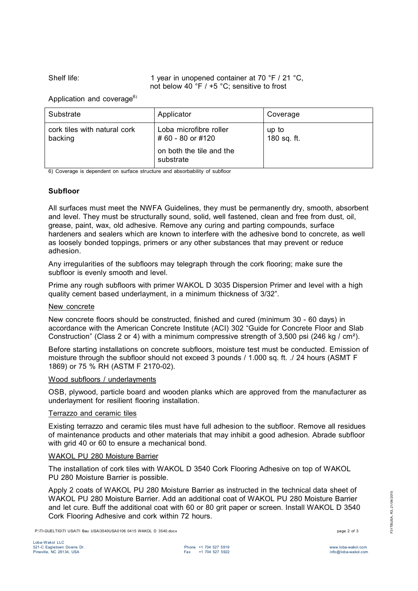Shelf life: 1 year in unopened container at 70 °F / 21 °C, not below 40 °F / +5 °C; sensitive to frost

Application and coverage $6$ )

| Substrate                               | Applicator                                  | Coverage             |
|-----------------------------------------|---------------------------------------------|----------------------|
| cork tiles with natural cork<br>backing | Loba microfibre roller<br># 60 - 80 or #120 | up to<br>180 sq. ft. |
|                                         | on both the tile and the<br>substrate       |                      |

6) Coverage is dependent on surface structure and absorbability of subfloor

## **Subfloor**

All surfaces must meet the NWFA Guidelines, they must be permanently dry, smooth, absorbent and level. They must be structurally sound, solid, well fastened, clean and free from dust, oil, grease, paint, wax, old adhesive. Remove any curing and parting compounds, surface hardeners and sealers which are known to interfere with the adhesive bond to concrete, as well as loosely bonded toppings, primers or any other substances that may prevent or reduce adhesion.

Any irregularities of the subfloors may telegraph through the cork flooring; make sure the subfloor is evenly smooth and level.

Prime any rough subfloors with primer WAKOL D 3035 Dispersion Primer and level with a high quality cement based underlayment, in a minimum thickness of 3/32".

#### New concrete

New concrete floors should be constructed, finished and cured (minimum 30 - 60 days) in accordance with the American Concrete Institute (ACI) 302 "Guide for Concrete Floor and Slab Construction" (Class 2 or 4) with a minimum compressive strength of 3,500 psi (246 kg / cm²).

Before starting installations on concrete subfloors, moisture test must be conducted. Emission of moisture through the subfloor should not exceed 3 pounds / 1.000 sq. ft. ./ 24 hours (ASMT F 1869) or 75 % RH (ASTM F 2170-02).

#### Wood subfloors / underlayments

OSB, plywood, particle board and wooden planks which are approved from the manufacturer as underlayment for resilient flooring installation.

#### Terrazzo and ceramic tiles

Existing terrazzo and ceramic tiles must have full adhesion to the subfloor. Remove all residues of maintenance products and other materials that may inhibit a good adhesion. Abrade subfloor with grid 40 or 60 to ensure a mechanical bond.

#### WAKOL PU 280 Moisture Barrier

The installation of cork tiles with WAKOL D 3540 Cork Flooring Adhesive on top of WAKOL PU 280 Moisture Barrier is possible.

Apply 2 coats of WAKOL PU 280 Moisture Barrier as instructed in the technical data sheet of WAKOL PU 280 Moisture Barrier. Add an additional coat of WAKOL PU 280 Moisture Barrier and let cure. Buff the additional coat with 60 or 80 grit paper or screen. Install WAKOL D 3540 Cork Flooring Adhesive and cork within 72 hours.

P:\TI-GUELTIG\TI USA\TI Bau USA\3540USA0106 0415 WAKOL D 3540.docx page 2 of 3

F31TBUSA, R3, 21/04/2015

=31TBUSA, R3, 21/04/2015